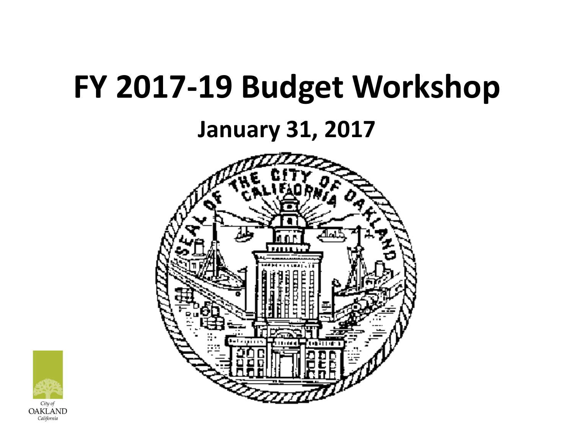# **FY 2017-19 Budget Workshop**

### **January 31, 2017**



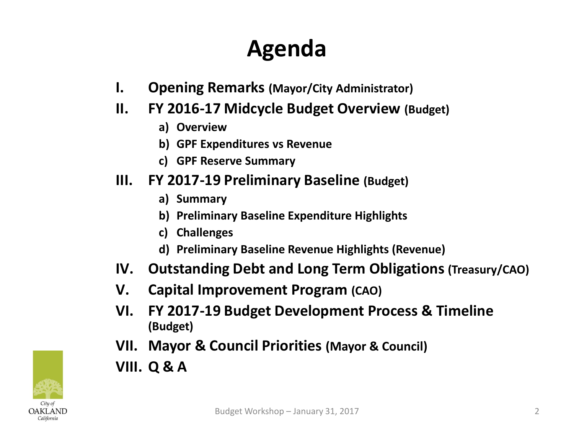### **Agenda**

- **I. Opening Remarks (Mayor/City Administrator)**
- **II. FY 2016-17 Midcycle Budget Overview (Budget)**
	- **a) Overview**
	- **b) GPF Expenditures vs Revenue**
	- **c) GPF Reserve Summary**

#### **III. FY 2017-19 Preliminary Baseline (Budget)**

- **a) Summary**
- **b) Preliminary Baseline Expenditure Highlights**
- **c) Challenges**
- **d) Preliminary Baseline Revenue Highlights (Revenue)**
- **IV. Outstanding Debt and Long Term Obligations (Treasury/CAO)**
- **V. Capital Improvement Program (CAO)**
- **VI. FY 2017-19 Budget Development Process & Timeline (Budget)**
- **VII. Mayor & Council Priorities (Mayor & Council)**
- **VIII. Q & A**

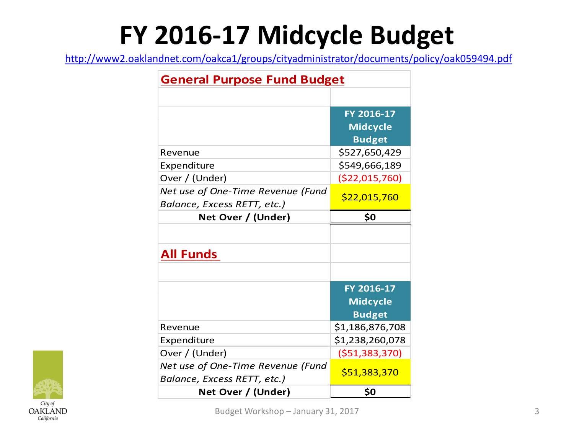# **FY 2016-17 Midcycle Budget**

<http://www2.oaklandnet.com/oakca1/groups/cityadministrator/documents/policy/oak059494.pdf>

| <b>General Purpose Fund Budget</b>                               |                                                |  |  |  |
|------------------------------------------------------------------|------------------------------------------------|--|--|--|
|                                                                  |                                                |  |  |  |
|                                                                  | FY 2016-17<br><b>Midcycle</b><br><b>Budget</b> |  |  |  |
| Revenue                                                          | \$527,650,429                                  |  |  |  |
| Expenditure                                                      | \$549,666,189                                  |  |  |  |
| Over / (Under)                                                   | ( \$22,015,760)                                |  |  |  |
| Net use of One-Time Revenue (Fund<br>Balance, Excess RETT, etc.) | \$22,015,760                                   |  |  |  |
| Net Over / (Under)                                               | \$0                                            |  |  |  |
| <b>All Funds</b>                                                 |                                                |  |  |  |
|                                                                  | FY 2016-17<br><b>Midcycle</b><br><b>Budget</b> |  |  |  |
| Revenue                                                          | \$1,186,876,708                                |  |  |  |
| Expenditure                                                      | \$1,238,260,078                                |  |  |  |
| Over / (Under)                                                   | ( \$51,383,370)                                |  |  |  |
| Net use of One-Time Revenue (Fund<br>Balance, Excess RETT, etc.) | \$51,383,370                                   |  |  |  |
| Net Over / (Under)                                               | \$0                                            |  |  |  |

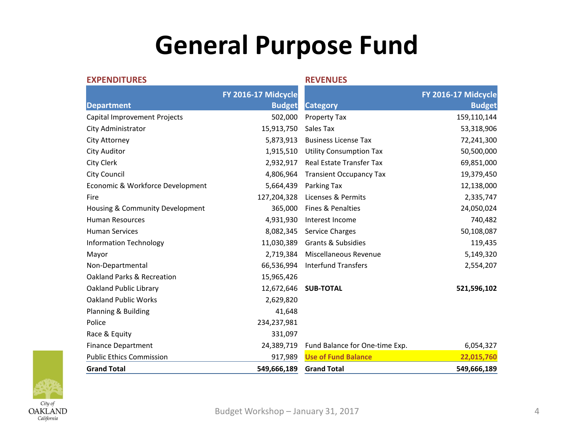### **General Purpose Fund**

| <b>EXPENDITURES</b>              |                                      | <b>REVENUES</b>                |                                      |
|----------------------------------|--------------------------------------|--------------------------------|--------------------------------------|
| <b>Department</b>                | FY 2016-17 Midcycle<br><b>Budget</b> | <b>Category</b>                | FY 2016-17 Midcycle<br><b>Budget</b> |
| Capital Improvement Projects     | 502,000                              | Property Tax                   | 159,110,144                          |
| City Administrator               | 15,913,750                           | Sales Tax                      | 53,318,906                           |
| City Attorney                    | 5,873,913                            | <b>Business License Tax</b>    | 72,241,300                           |
| City Auditor                     | 1,915,510                            | <b>Utility Consumption Tax</b> | 50,500,000                           |
| City Clerk                       | 2,932,917                            | Real Estate Transfer Tax       | 69,851,000                           |
| <b>City Council</b>              | 4,806,964                            | <b>Transient Occupancy Tax</b> | 19,379,450                           |
| Economic & Workforce Development | 5,664,439                            | Parking Tax                    | 12,138,000                           |
| Fire                             | 127,204,328                          | Licenses & Permits             | 2,335,747                            |
| Housing & Community Development  | 365,000                              | Fines & Penalties              | 24,050,024                           |
| <b>Human Resources</b>           | 4,931,930                            | Interest Income                | 740,482                              |
| <b>Human Services</b>            | 8,082,345                            | Service Charges                | 50,108,087                           |
| <b>Information Technology</b>    | 11,030,389                           | <b>Grants &amp; Subsidies</b>  | 119,435                              |
| Mayor                            | 2,719,384                            | Miscellaneous Revenue          | 5,149,320                            |
| Non-Departmental                 | 66,536,994                           | <b>Interfund Transfers</b>     | 2,554,207                            |
| Oakland Parks & Recreation       | 15,965,426                           |                                |                                      |
| Oakland Public Library           | 12,672,646                           | <b>SUB-TOTAL</b>               | 521,596,102                          |
| <b>Oakland Public Works</b>      | 2,629,820                            |                                |                                      |
| Planning & Building              | 41,648                               |                                |                                      |
| Police                           | 234,237,981                          |                                |                                      |
| Race & Equity                    | 331,097                              |                                |                                      |
| <b>Finance Department</b>        | 24,389,719                           | Fund Balance for One-time Exp. | 6,054,327                            |
| <b>Public Ethics Commission</b>  | 917,989                              | <b>Use of Fund Balance</b>     | 22,015,760                           |
| <b>Grand Total</b>               | 549,666,189                          | <b>Grand Total</b>             | 549,666,189                          |

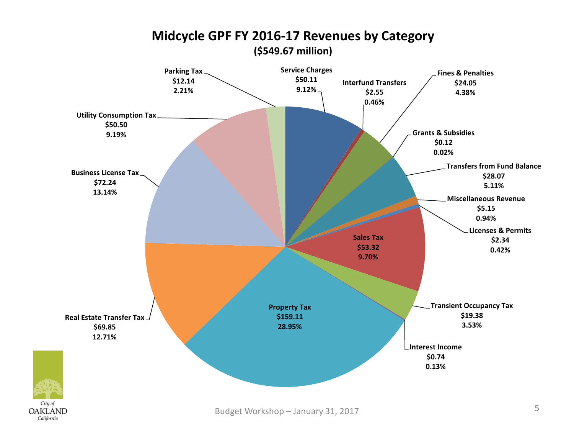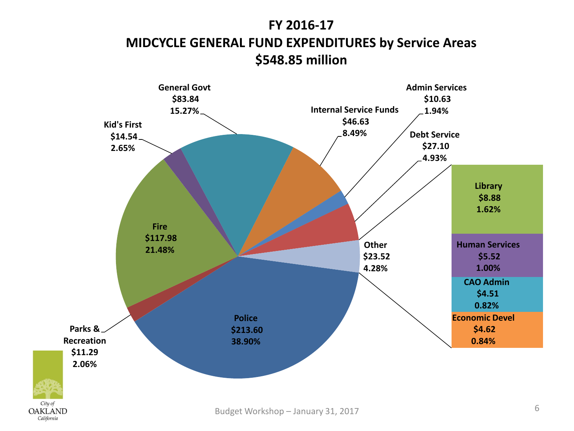#### **FY 2016-17 MIDCYCLE GENERAL FUND EXPENDITURES by Service Areas \$548.85 million**



City of

California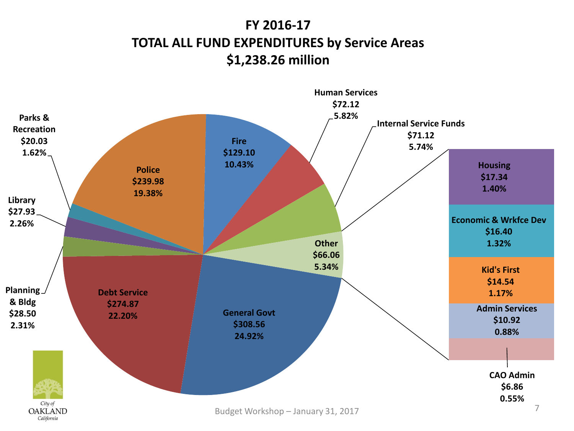#### **FY 2016-17 TOTAL ALL FUND EXPENDITURES by Service Areas \$1,238.26 million**

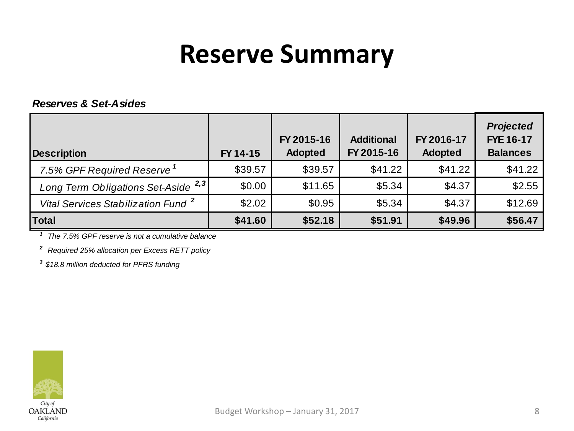### **Reserve Summary**

#### *Reserves & Set-Asides*

| <b>Description</b>                             | FY 14-15 | FY 2015-16<br><b>Adopted</b> | <b>Additional</b><br>FY 2015-16 | FY 2016-17<br><b>Adopted</b> | <b>Projected</b><br><b>FYE 16-17</b><br><b>Balances</b> |
|------------------------------------------------|----------|------------------------------|---------------------------------|------------------------------|---------------------------------------------------------|
| 7.5% GPF Required Reserve <sup>1</sup>         | \$39.57  | \$39.57                      | \$41.22                         | \$41.22                      | \$41.22                                                 |
| Long Term Obligations Set-Aside <sup>2,3</sup> | \$0.00   | \$11.65                      | \$5.34                          | \$4.37                       | \$2.55                                                  |
| Vital Services Stabilization Fund <sup>2</sup> | \$2.02   | \$0.95                       | \$5.34                          | \$4.37                       | \$12.69                                                 |
| Total                                          | \$41.60  | \$52.18                      | \$51.91                         | \$49.96                      | \$56.47                                                 |

*<sup>1</sup> The 7.5% GPF reserve is not a cumulative balance*

*<sup>2</sup> Required 25% allocation per Excess RETT policy*

*<sup>3</sup> \$18.8 million deducted for PFRS funding*

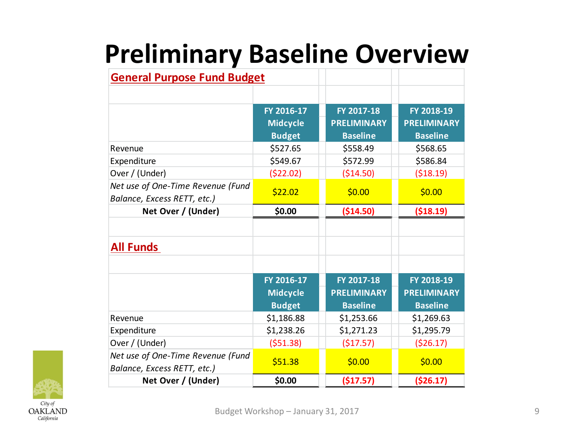## **Preliminary Baseline Overview**

| <b>General Purpose Fund Budget</b> |                 |                    |                    |
|------------------------------------|-----------------|--------------------|--------------------|
|                                    |                 |                    |                    |
|                                    | FY 2016-17      | FY 2017-18         | FY 2018-19         |
|                                    | <b>Midcycle</b> | <b>PRELIMINARY</b> | <b>PRELIMINARY</b> |
|                                    | <b>Budget</b>   | <b>Baseline</b>    | <b>Baseline</b>    |
| Revenue                            | \$527.65        | \$558.49           | \$568.65           |
| Expenditure                        | \$549.67        | \$572.99           | \$586.84           |
| Over / (Under)                     | ( \$22.02)      | ( \$14.50)         | ( \$18.19)         |
| Net use of One-Time Revenue (Fund  | \$22.02         | \$0.00             | \$0.00             |
| Balance, Excess RETT, etc.)        |                 |                    |                    |
| Net Over / (Under)                 | \$0.00          | (\$14.50)          | ( \$18.19)         |
|                                    |                 |                    |                    |
| <b>All Funds</b>                   |                 |                    |                    |
|                                    |                 |                    |                    |
|                                    | FY 2016-17      | FY 2017-18         | FY 2018-19         |
|                                    | <b>Midcycle</b> | <b>PRELIMINARY</b> | <b>PRELIMINARY</b> |
|                                    | <b>Budget</b>   | <b>Baseline</b>    | <b>Baseline</b>    |
| Revenue                            | \$1,186.88      | \$1,253.66         | \$1,269.63         |
| Expenditure                        | \$1,238.26      | \$1,271.23         | \$1,295.79         |
| Over / (Under)                     | (551.38)        | ( \$17.57)         | (526.17)           |
| Net use of One-Time Revenue (Fund  | \$51.38         | \$0.00             | \$0.00             |
| Balance, Excess RETT, etc.)        |                 |                    |                    |
| Net Over / (Under)                 | \$0.00          | (\$17.57)          | ( \$26.17)         |

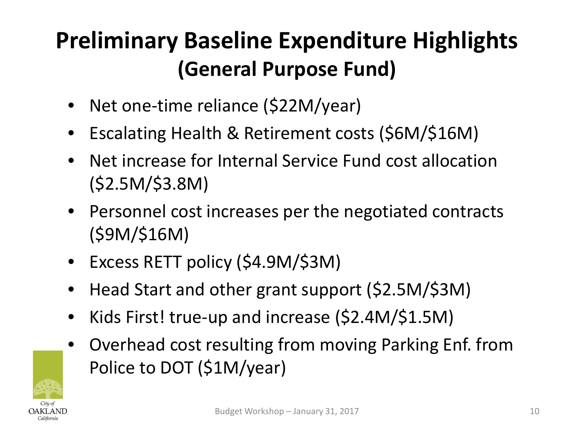### **Preliminary Baseline Expenditure Highlights (General Purpose Fund)**

- Net one-time reliance (\$22M/year)
- Escalating Health & Retirement costs (\$6M/\$16M)
- Net increase for Internal Service Fund cost allocation (\$2.5M/\$3.8M)
- Personnel cost increases per the negotiated contracts (\$9M/\$16M)
- Excess RETT policy (\$4.9M/\$3M)
- Head Start and other grant support (\$2.5M/\$3M)
- Kids First! true-up and increase (\$2.4M/\$1.5M)
- Overhead cost resulting from moving Parking Enf. from Police to DOT (\$1M/year)

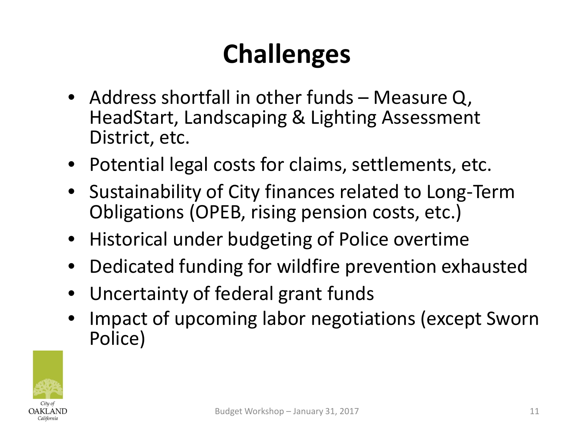# **Challenges**

- Address shortfall in other funds Measure Q, HeadStart, Landscaping & Lighting Assessment District, etc.
- Potential legal costs for claims, settlements, etc.
- Sustainability of City finances related to Long-Term Obligations (OPEB, rising pension costs, etc.)
- Historical under budgeting of Police overtime
- Dedicated funding for wildfire prevention exhausted
- Uncertainty of federal grant funds
- Impact of upcoming labor negotiations (except Sworn Police)

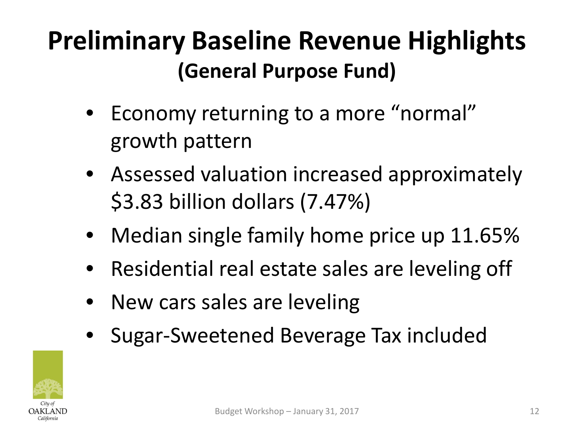### **Preliminary Baseline Revenue Highlights (General Purpose Fund)**

- Economy returning to a more "normal" growth pattern
- Assessed valuation increased approximately \$3.83 billion dollars (7.47%)
- Median single family home price up 11.65%
- Residential real estate sales are leveling off
- New cars sales are leveling
- Sugar-Sweetened Beverage Tax included

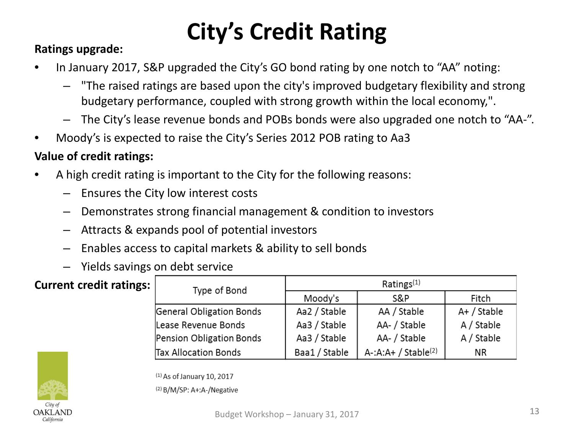## **City's Credit Rating**

#### **Ratings upgrade:**

- In January 2017, S&P upgraded the City's GO bond rating by one notch to "AA" noting:
	- "The raised ratings are based upon the city's improved budgetary flexibility and strong budgetary performance, coupled with strong growth within the local economy,".
	- The City's lease revenue bonds and POBs bonds were also upgraded one notch to "AA-".
- Moody's is expected to raise the City's Series 2012 POB rating to Aa3

#### **Value of credit ratings:**

- A high credit rating is important to the City for the following reasons:
	- Ensures the City low interest costs
	- Demonstrates strong financial management & condition to investors
	- Attracts & expands pool of potential investors
	- Enables access to capital markets & ability to sell bonds
	- Yields savings on debt service

#### **Current credit ratings:**

| Type of Bond                | Ratings $(1)$ |                                    |             |  |  |
|-----------------------------|---------------|------------------------------------|-------------|--|--|
|                             | Moody's       | S&P                                | Fitch       |  |  |
| General Obligation Bonds    | Aa2 / Stable  | AA / Stable                        | A+ / Stable |  |  |
| Lease Revenue Bonds         | Aa3 / Stable  | AA- / Stable                       | A / Stable  |  |  |
| Pension Obligation Bonds    | Aa3 / Stable  | AA- / Stable                       | A / Stable  |  |  |
| <b>Tax Allocation Bonds</b> | Baa1 / Stable | $A$ -:A:A+ / Stable <sup>(2)</sup> | NR.         |  |  |



 $(1)$  As of January 10, 2017

(2) B/M/SP: A+:A-/Negative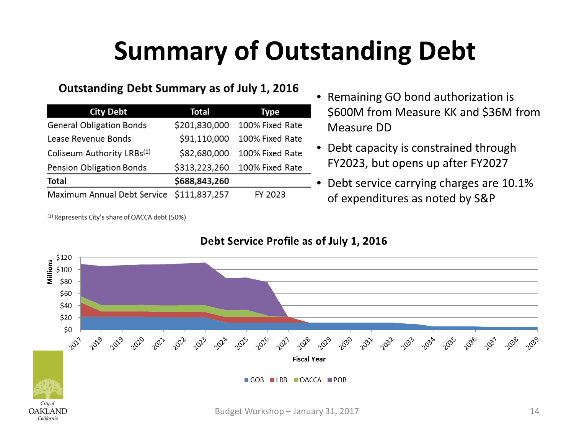# **Summary of Outstanding Debt**

#### Outstanding Debt Summary as of July 1, 2016

| <b>City Debt</b>                       | <b>Total</b>  | Type            |
|----------------------------------------|---------------|-----------------|
| <b>General Obligation Bonds</b>        | \$201,830,000 | 100% Fixed Rate |
| Lease Revenue Bonds                    | \$91,110,000  | 100% Fixed Rate |
| Coliseum Authority LRBs <sup>(1)</sup> | \$82,680,000  | 100% Fixed Rate |
| Pension Obligation Bonds               | \$313,223,260 | 100% Fixed Rate |
| <b>Total</b>                           | \$688,843,260 |                 |
| Maximum Annual Debt Service            | \$111,837,257 | FY 2023         |

<sup>(1)</sup> Represents City's share of OACCA debt (50%)

- Remaining GO bond authorization is \$600M from Measure KK and \$36M from Measure DD
- Debt capacity is constrained through FY2023, but opens up after FY2027
- Debt service carrying charges are 10.1% of expenditures as noted by S&P

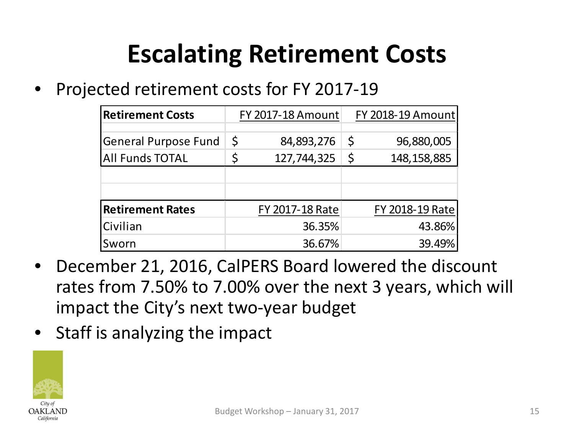### **Escalating Retirement Costs**

• Projected retirement costs for FY 2017-19

| <b>Retirement Costs</b>     | <b>FY 2017-18 Amount</b> | FY 2018-19 Amount   |
|-----------------------------|--------------------------|---------------------|
|                             |                          |                     |
| <b>General Purpose Fund</b> | \$<br>84,893,276         | \$<br>96,880,005    |
| <b>All Funds TOTAL</b>      | 127,744,325              | \$<br>148, 158, 885 |
|                             |                          |                     |
|                             |                          |                     |
| <b>Retirement Rates</b>     | FY 2017-18 Rate          | FY 2018-19 Rate     |
| Civilian                    | 36.35%                   | 43.86%              |
| Sworn                       | 36.67%                   | 39.49%              |

- December 21, 2016, CalPERS Board lowered the discount rates from 7.50% to 7.00% over the next 3 years, which will impact the City's next two-year budget
- Staff is analyzing the impact

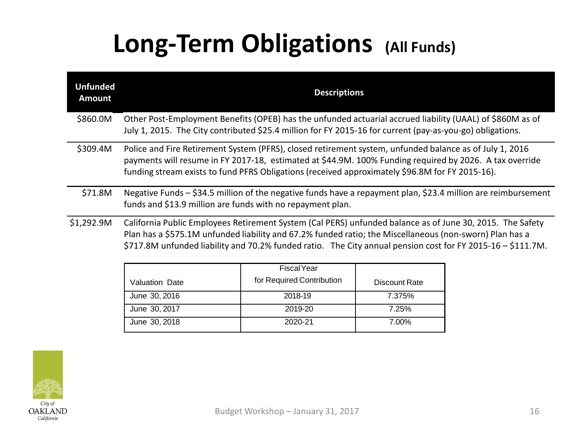### **Long-Term Obligations (All Funds)**

| <b>Unfunded</b><br><b>Amount</b> | <b>Descriptions</b>                                                                                                                                                                                                                                                                                                                 |
|----------------------------------|-------------------------------------------------------------------------------------------------------------------------------------------------------------------------------------------------------------------------------------------------------------------------------------------------------------------------------------|
| \$860.0M                         | Other Post-Employment Benefits (OPEB) has the unfunded actuarial accrued liability (UAAL) of \$860M as of<br>July 1, 2015. The City contributed \$25.4 million for FY 2015-16 for current (pay-as-you-go) obligations.                                                                                                              |
| \$309.4M                         | Police and Fire Retirement System (PFRS), closed retirement system, unfunded balance as of July 1, 2016<br>payments will resume in FY 2017-18, estimated at \$44.9M. 100% Funding required by 2026. A tax override<br>funding stream exists to fund PFRS Obligations (received approximately \$96.8M for FY 2015-16).               |
| \$71.8M                          | Negative Funds – \$34.5 million of the negative funds have a repayment plan, \$23.4 million are reimbursement<br>funds and \$13.9 million are funds with no repayment plan.                                                                                                                                                         |
| \$1,292.9M                       | California Public Employees Retirement System (Cal PERS) unfunded balance as of June 30, 2015. The Safety<br>Plan has a \$575.1M unfunded liability and 67.2% funded ratio; the Miscellaneous (non-sworn) Plan has a<br>\$717.8M unfunded liability and 70.2% funded ratio. The City annual pension cost for FY 2015-16 - \$111.7M. |
|                                  | Ficcol Voor                                                                                                                                                                                                                                                                                                                         |

|                | <b>Fiscal Year</b>        |               |
|----------------|---------------------------|---------------|
| Valuation Date | for Required Contribution | Discount Rate |
| June 30, 2016  | 2018-19                   | 7.375%        |
| June 30, 2017  | 2019-20                   | 7.25%         |
| June 30, 2018  | 2020-21                   | 7.00%         |

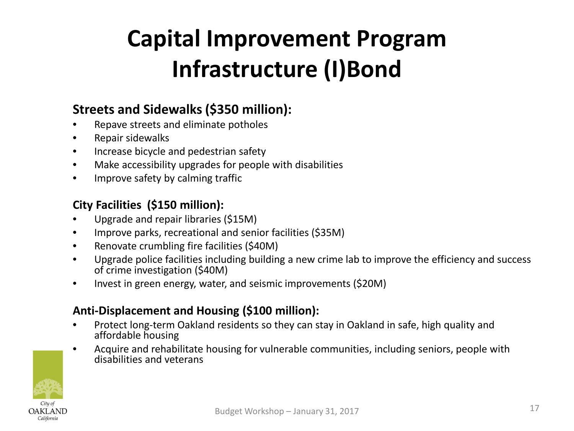### **Capital Improvement Program Infrastructure (I)Bond**

#### **Streets and Sidewalks (\$350 million):**

- Repave streets and eliminate potholes
- Repair sidewalks
- Increase bicycle and pedestrian safety
- Make accessibility upgrades for people with disabilities
- Improve safety by calming traffic

#### **City Facilities (\$150 million):**

- Upgrade and repair libraries (\$15M)
- Improve parks, recreational and senior facilities (\$35M)
- Renovate crumbling fire facilities (\$40M)
- Upgrade police facilities including building a new crime lab to improve the efficiency and success of crime investigation (\$40M)
- Invest in green energy, water, and seismic improvements (\$20M)

#### **Anti-Displacement and Housing (\$100 million):**

- Protect long-term Oakland residents so they can stay in Oakland in safe, high quality and affordable housing
- Acquire and rehabilitate housing for vulnerable communities, including seniors, people with disabilities and veterans

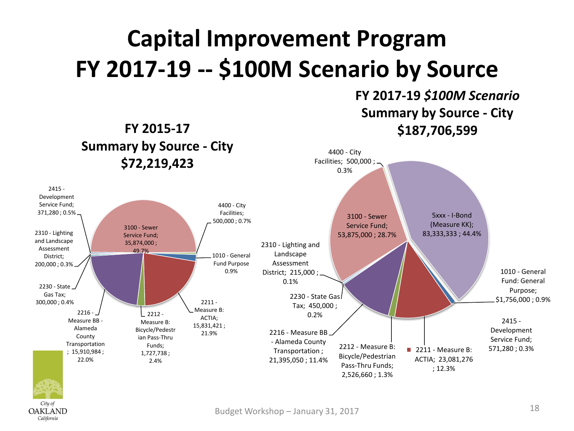### **Capital Improvement Program FY 2017-19 -- \$100M Scenario by Source**

**FY 2015-17**

**OAKLAND** California

#### **FY 2017-19** *\$100M Scenario* **Summary by Source - City \$187,706,599**

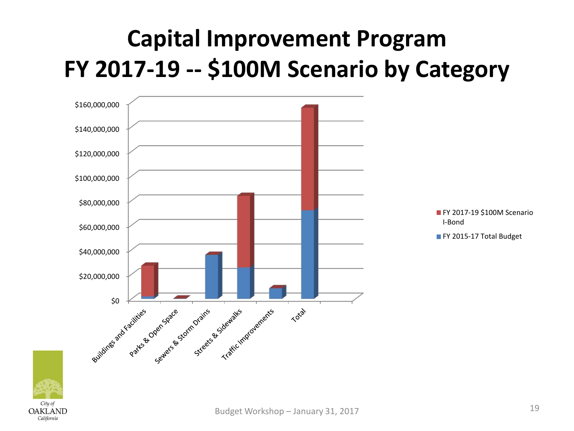### **Capital Improvement Program FY 2017-19 -- \$100M Scenario by Category**



City of **OAKLAND** California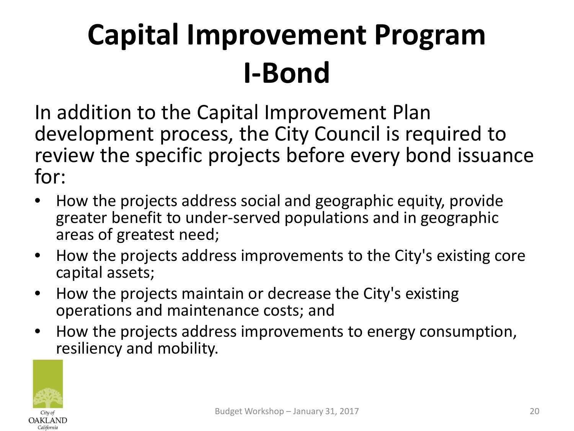# **Capital Improvement Program I-Bond**

In addition to the Capital Improvement Plan development process, the City Council is required to review the specific projects before every bond issuance for:

- How the projects address social and geographic equity, provide greater benefit to under-served populations and in geographic areas of greatest need;
- How the projects address improvements to the City's existing core capital assets;
- How the projects maintain or decrease the City's existing operations and maintenance costs; and
- How the projects address improvements to energy consumption, resiliency and mobility.

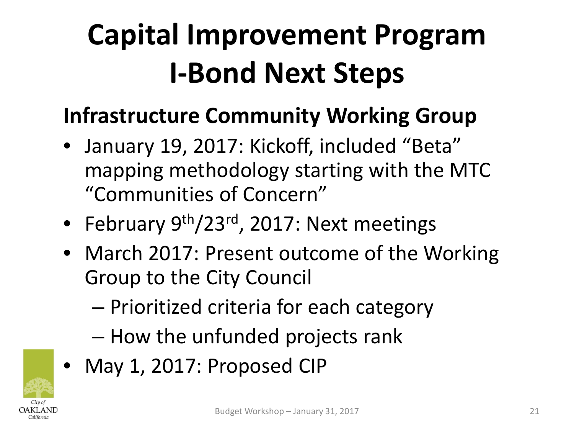# **Capital Improvement Program I-Bond Next Steps**

### **Infrastructure Community Working Group**

- January 19, 2017: Kickoff, included "Beta" mapping methodology starting with the MTC "Communities of Concern"
- February 9<sup>th</sup>/23<sup>rd</sup>, 2017: Next meetings
- March 2017: Present outcome of the Working Group to the City Council
	- Prioritized criteria for each category
	- How the unfunded projects rank
- May 1, 2017: Proposed CIP

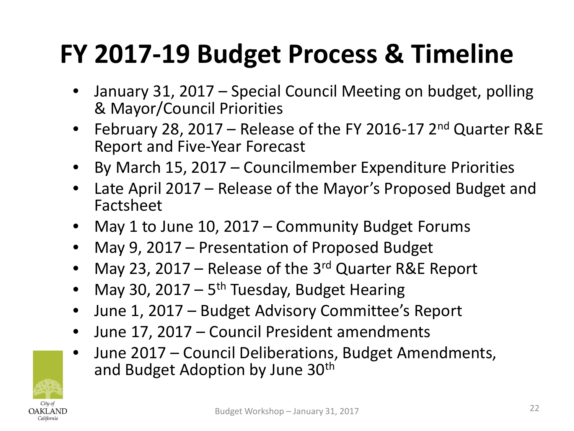## **FY 2017-19 Budget Process & Timeline**

- January 31, 2017 Special Council Meeting on budget, polling & Mayor/Council Priorities
- February 28, 2017 Release of the FY 2016-17 2<sup>nd</sup> Quarter R&E Report and Five-Year Forecast
- By March 15, 2017 Councilmember Expenditure Priorities
- Late April 2017 Release of the Mayor's Proposed Budget and Factsheet
- May 1 to June 10, 2017 Community Budget Forums
- May 9, 2017 Presentation of Proposed Budget
- May 23, 2017 Release of the  $3<sup>rd</sup>$  Quarter R&E Report
- May 30, 2017  $5<sup>th</sup>$  Tuesday, Budget Hearing
- June 1, 2017 Budget Advisory Committee's Report
- June 17, 2017 Council President amendments
- June 2017 Council Deliberations, Budget Amendments, and Budget Adoption by June 30th

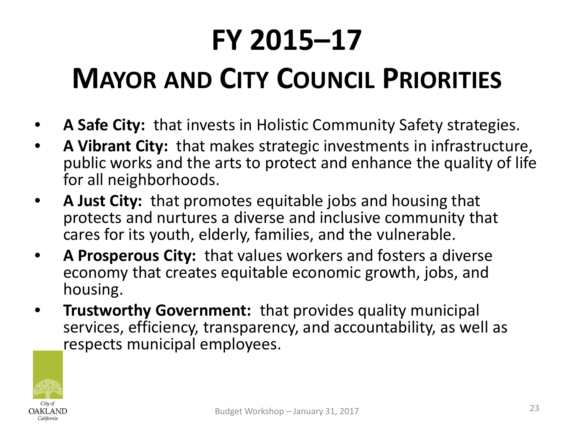# **FY 2015–17 MAYOR AND CITY COUNCIL PRIORITIES**

- **A Safe City:** that invests in Holistic Community Safety strategies.
- **A Vibrant City:** that makes strategic investments in infrastructure, public works and the arts to protect and enhance the quality of life for all neighborhoods.
- **A Just City:** that promotes equitable jobs and housing that protects and nurtures a diverse and inclusive community that cares for its youth, elderly, families, and the vulnerable.
- **A Prosperous City:** that values workers and fosters a diverse economy that creates equitable economic growth, jobs, and housing.
- **Trustworthy Government:** that provides quality municipal services, efficiency, transparency, and accountability, as well as respects municipal employees.